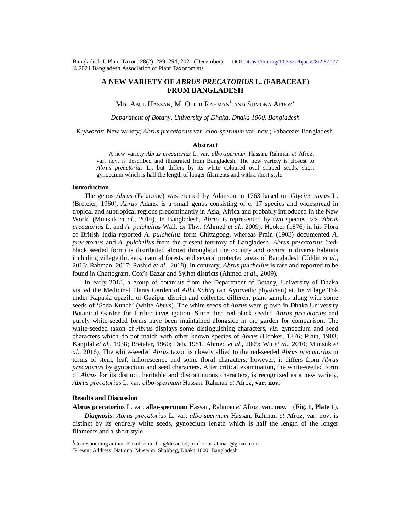Bangladesh J. Plant Taxon. **28**(2): 289‒294, 2021 (December) DOI:<https://doi.org/10.3329/bjpt.v28i2.57127> © 2021 Bangladesh Association of Plant Taxonomists

# **A NEW VARIETY OF** *ABRUS PRECATORIUS* **L. (FABACEAE) FROM BANGLADESH**

 $\rm{MD}$ . Abul Hassan,  $\rm{M}$ . Oliur Rahman $^{\rm{l}}$  and Sumona Afroz $^{\rm{2}}$ 

*Department of Botany, University of Dhaka, Dhaka 1000, Bangladesh*

*Keywords*: New variety; *Abrus precatorius* var. *albo-spermum* var. nov.; Fabaceae; Bangladesh.

## **Abstract**

A new variety *Abrus precatorius* L. var. *albo-spermum* Hassan, Rahman *et* Afroz, var. nov. is described and illustrated from Bangladesh. The new variety is closest to *Abrus preactorius* L., but differs by its white coloured oval shaped seeds, short gynoecium which is half the length of longer filaments and with a short style.

## **Introduction**

The genus *Abrus* (Fabaceae) was erected by Adanson in 1763 based on *Glycine abrus* L. (Breteler, 1960). *Abrus* Adans. is a small genus consisting of c. 17 species and widespread in tropical and subtropical regions predominantly in Asia, Africa and probably introduced in the New World (Munsuk *et al*., 2016). In Bangladesh, *Abrus* is represented by two species, *viz. Abrus precatorius* L. and *A. pulchellus* Wall. *ex* Thw. (Ahmed *et al*., 2009). Hooker (1876) in his Flora of British India reported *A. pulchellus* form Chittagong, whereas Prain (1903) documented *A. precatorius* and *A. pulchellus* from the present territory of Bangladesh. *Abrus precatorius* (redblack seeded form) is distributed almost throughout the country and occurs in diverse habitats including village thickets, natural forests and several protected areas of Bangladesh (Uddin *et al*., 2013; Rahman, 2017; Rashid *et al*., 2018). In contrary, *Abrus pulchellus* is rare and reported to be found in Chattogram, Cox's Bazar and Sylhet districts (Ahmed *et al*., 2009).

In early 2018, a group of botanists from the Department of Botany, University of Dhaka visited the Medicinal Plants Garden of *Adhi Kabirj* (an Ayurvedic physician) at the village Tok under Kapasia upazila of Gazipur district and collected different plant samples along with some seeds of 'Sada Kunch' (white *Abrus*). The white seeds of *Abrus* were grown in Dhaka University Botanical Garden for further investigation. Since then red-black seeded *Abrus precatorius* and purely white-seeded forms have been maintained alongside in the garden for comparison. The white-seeded taxon of *Abrus* displays some distinguishing characters, *viz*. gynoecium and seed characters which do not match with other known species of *Abrus* (Hooker, 1876; Prain, 1903; Kanjilal *et al.,* 1938; Breteler, 1960; Deb, 1981; Ahmed *et al*., 2009; Wu *et al*., 2010; Munsuk *et al*., 2016). The white-seeded *Abrus* taxon is closely allied to the red-seeded *Abrus precatorius* in terms of stem, leaf, inflorescence and some floral characters; however, it differs from *Abrus precatorius* by gynoecium and seed characters. After critical examination, the white-seeded form of *Abrus* for its distinct, heritable and discontinuous characters, is recognized as a new variety, *Abrus precatorius* L. var. *albo-spermum* Hassan, Rahman *et* Afroz, **var. nov**.

#### **Results and Discussion**

#### **Abrus precatorius** L. var. **albo-spermum** Hassan, Rahman *et* Afroz, **var. nov.** (**Fig. 1, Plate 1**).

*Diagnosis*: *Abrus precatorius* L. var. *albo-spermum* Hassan, Rahman *et* Afroz, var. nov. is distinct by its entirely white seeds, gynoecium length which is half the length of the longer filaments and a short style.

<sup>&</sup>lt;sup>1</sup>Corresponding author. Email: [oliur.bot@du.ac.bd;](mailto:oliur.bot@du.ac.bd;) [prof.oliurrahman@gmail.com](mailto:prof.oliurrahman@gmail.com)

<sup>2</sup> Present Address: National Museum, Shahbag, Dhaka 1000, Bangladesh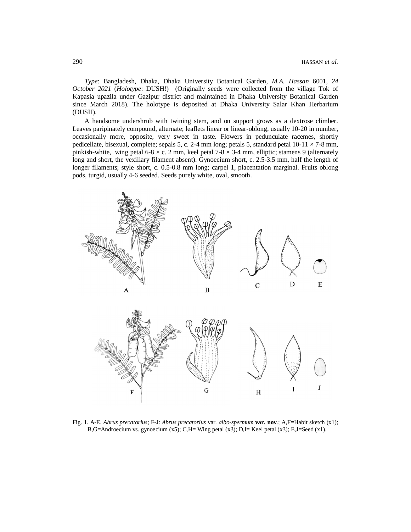*Type*: Bangladesh, Dhaka, Dhaka University Botanical Garden, *M.A. Hassan* 6001, *24 October 2021* (*Holotype*: DUSH!) (Originally seeds were collected from the village Tok of Kapasia upazila under Gazipur district and maintained in Dhaka University Botanical Garden since March 2018). The holotype is deposited at Dhaka University Salar Khan Herbarium (DUSH).

A handsome undershrub with twining stem, and on support grows as a dextrose climber. Leaves paripinately compound, alternate; leaflets linear or linear-oblong, usually 10-20 in number, occasionally more, opposite, very sweet in taste. Flowers in pedunculate racemes, shortly pedicellate, bisexual, complete; sepals 5, c. 2-4 mm long; petals 5, standard petal  $10-11 \times 7-8$  mm, pinkish-white, wing petal 6-8  $\times$  c. 2 mm, keel petal 7-8  $\times$  3-4 mm, elliptic; stamens 9 (alternately long and short, the vexillary filament absent). Gynoecium short, c. 2.5-3.5 mm, half the length of longer filaments; style short, c. 0.5-0.8 mm long; carpel 1, placentation marginal. Fruits oblong pods, turgid, usually 4-6 seeded. Seeds purely white, oval, smooth.



Fig. 1. A-E. *Abrus precatorius*; F-J: *Abrus precatorius* var. *albo-spermum* **var. nov**.; A,F=Habit sketch (x1); B,G=Androecium vs. gynoecium  $(x5)$ ; C,H= Wing petal  $(x3)$ ; D,I= Keel petal  $(x3)$ ; E,J=Seed  $(x1)$ .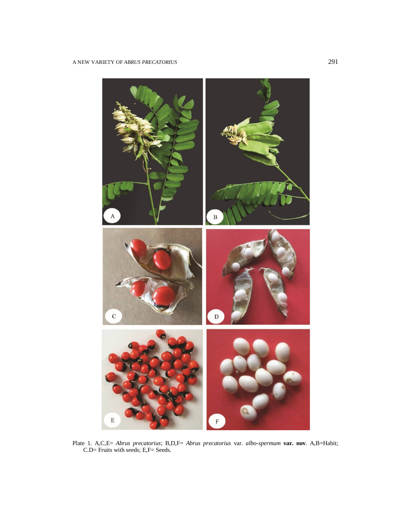

Plate 1. A,C,E= *Abrus precatorius*; B,D,F= *Abrus precatorius* var. *albo-spermum* **var. nov**. A,B=Habit; C.D= Fruits with seeds; E,F= Seeds.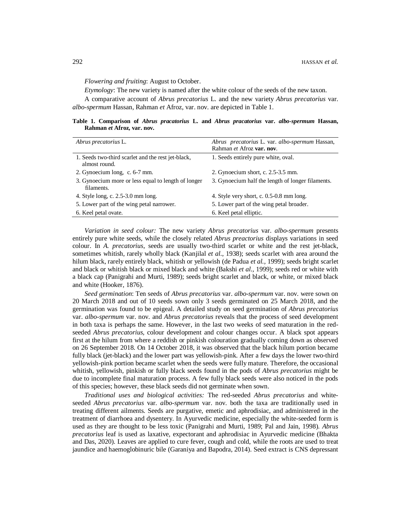*Flowering and fruiting*: August to October.

*Etymology*: The new variety is named after the white colour of the seeds of the new taxon.

A comparative account of *Abrus precatorius* L. and the new variety *Abrus precatorius* var. *albo-spermum* Hassan, Rahman *et* Afroz, var. nov. are depicted in Table 1.

**Table 1. Comparison of** *Abrus pracatorius* **L. and** *Abrus pracatorius* **var.** *albo-spermum* **Hassan, Rahman** *et* **Afroz, var. nov.**

| Abrus precatorius L.                                                | Abrus precatorius L. var. albo-spermum Hassan,<br>Rahman et Afroz var. nov. |
|---------------------------------------------------------------------|-----------------------------------------------------------------------------|
| 1. Seeds two-third scarlet and the rest jet-black,<br>almost round. | 1. Seeds entirely pure white, oval.                                         |
| 2. Gynoecium long, c. 6-7 mm.                                       | 2. Gynoecium short, c. 2.5-3.5 mm.                                          |
| 3. Gynoecium more or less equal to length of longer<br>filaments.   | 3. Gynoecium half the length of longer filaments.                           |
| 4. Style long, c. 2.5-3.0 mm long.                                  | 4. Style very short, c. 0.5-0.8 mm long.                                    |
| 5. Lower part of the wing petal narrower.                           | 5. Lower part of the wing petal broader.                                    |
| 6. Keel petal ovate.                                                | 6. Keel petal elliptic.                                                     |

*Variation in seed colour:* The new variety *Abrus precatorius* var. *albo-spermum* presents entirely pure white seeds, while the closely related *Abrus preactorius* displays variations in seed colour. In *A. precatorius*, seeds are usually two-third scarlet or white and the rest jet-black, sometimes whitish, rarely wholly black (Kanjilal *et al*., 1938); seeds scarlet with area around the hilum black, rarely entirely black, whitish or yellowish (de Padua *et al.,* 1999); seeds bright scarlet and black or whitish black or mixed black and white (Bakshi *et al.,* 1999); seeds red or white with a black cap (Panigrahi and Murti, 1989); seeds bright scarlet and black, or white, or mixed black and white (Hooker, 1876).

*Seed germination*: Ten seeds of *Abrus precatorius* var. *albo-spermum* var. nov. were sown on 20 March 2018 and out of 10 seeds sown only 3 seeds germinated on 25 March 2018, and the germination was found to be epigeal. A detailed study on seed germination of *Abrus precatorius*  var. *albo-spermum* var. nov. and *Abrus precatorius* reveals that the process of seed development in both taxa is perhaps the same. However, in the last two weeks of seed maturation in the redseeded *Abrus precatorius,* colour development and colour changes occur. A black spot appears first at the hilum from where a reddish or pinkish colouration gradually coming down as observed on 26 September 2018. On 14 October 2018, it was observed that the black hilum portion became fully black (jet-black) and the lower part was yellowish-pink. After a few days the lower two-third yellowish-pink portion became scarlet when the seeds were fully mature. Therefore, the occasional whitish, yellowish, pinkish or fully black seeds found in the pods of *Abrus precatorius* might be due to incomplete final maturation process. A few fully black seeds were also noticed in the pods of this species; however, these black seeds did not germinate when sown.

*Traditional uses and biological activities:* The red-seeded *Abrus precatorius* and whiteseeded *Abrus precatorius* var. *albo-spermum* var. nov. both the taxa are traditionally used in treating different ailments. Seeds are purgative, emetic and aphrodisiac, and administered in the treatment of diarrhoea and dysentery. In Ayurvedic medicine, especially the white-seeded form is used as they are thought to be less toxic (Panigrahi and Murti, 1989; Pal and Jain, 1998). *Abrus precatorius* leaf is used as laxative, expectorant and aphrodisiac in Ayurvedic medicine (Bhakta and Das, 2020). Leaves are applied to cure fever, cough and cold, while the roots are used to treat jaundice and haemoglobinuric bile (Garaniya and Bapodra, 2014). Seed extract is CNS depressant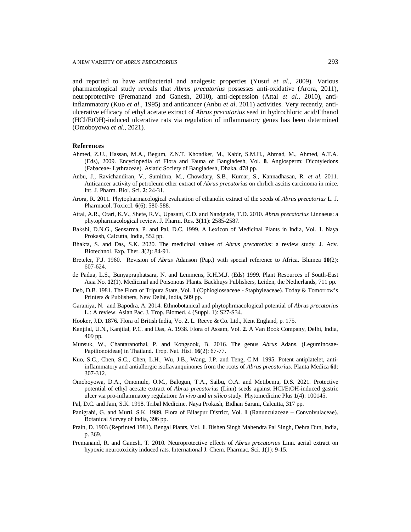and reported to have antibacterial and analgesic properties (Yusuf *et al*., 2009). Various pharmacological study reveals that *Abrus precatorius* possesses anti-oxidative (Arora, 2011), neuroprotective (Premanand and Ganesh, 2010), anti-depression (Attal *et al*., 2010), antiinflammatory (Kuo *et al*., 1995) and anticancer (Anbu *et al*. 2011) activities. Very recently, antiulcerative efficacy of ethyl acetate extract of *Abrus precatorius* seed in hydrochloric acid/Ethanol (HCl/EtOH)-induced ulcerative rats via regulation of inflammatory genes has been determined (Omoboyowa *et al.*, 2021).

# **References**

- Ahmed, Z.U., Hassan, M.A., Begum, Z.N.T. Khondker, M., Kabir, S.M.H., Ahmad, M., Ahmed, A.T.A. (Eds), 2009. Encyclopedia of Flora and Fauna of Bangladesh*,* Vol. **8**. Angiosperm: Dicotyledons (Fabaceae- Lythraceae). Asiatic Society of Bangladesh, Dhaka, 478 pp.
- Anbu, J., Ravichandiran, V., Sumithra, M., Chowdary, S.B., Kumar, S., Kannadhasan, R. *et al*. 2011. Anticancer activity of petroleum ether extract of *Abrus precatorius* on ehrlich ascitis carcinoma in mice. Int. J. Pharm. Biol. Sci. **2**: 24-31.
- Arora, R. 2011. Phytopharmacological evaluation of ethanolic extract of the seeds of *Abrus precatorius* L. J. Pharmacol. Toxicol. **6**(6): 580-588.
- Attal, A.R., Otari, K.V., Shete, R.V., Upasani, C.D. and Nandgude, T.D. 2010. *Abrus precatorius* Linnaeus: a phytopharmacological review. J. Pharm. Res. **3**(11): 2585-2587.
- Bakshi, D.N.G., Sensarma, P. and Pal, D.C. 1999. A Lexicon of Medicinal Plants in India, Vol. **1**. Naya Prokash, Calcutta, India, 552 pp.
- Bhakta, S. and Das, S.K. 2020. The medicinal values of *Abrus precatorius*: a review study. J. Adv. Biotechnol. Exp. Ther. **3**(2): 84-91.
- Breteler, F.J. 1960. Revision of *Abrus* Adanson (Pap.) with special reference to Africa. Blumea **10**(2): 607-624.
- de Padua, L.S., Bunyapraphatsara, N. and Lemmens, R.H.M.J. (Eds) 1999. Plant Resources of South-East Asia No. **12**(1). Medicinal and Poisonous Plants. Backhuys Publishers, Leiden, the Netherlands, 711 pp.
- Deb, D.B. 1981. The Flora of Tripura State, Vol. **1** (Ophioglossaceae Staphyleaceae). Today & Tomorrow's Printers & Publishers, New Delhi, India, 509 pp.
- Garaniya, N. and Bapodra, A. 2014. Ethnobotanical and phytophrmacological potential of *Abrus precatorius* L.: A review. Asian Pac. J. Trop. Biomed. 4 (Suppl. 1): S27-S34.
- Hooker, J.D. 1876. Flora of British India, Vo. **2**. L. Reeve & Co. Ltd., Kent England, p. 175.
- Kanjilal, U.N., Kanjilal, P.C. and Das, A. 1938. Flora of Assam, Vol. **2**. A Van Book Company, Delhi, India, 409 pp.
- Munsuk, W., Chantaranothai, P. and Kongsook, B. 2016. The genus *Abrus* Adans. (Leguminosae-Papilionoideae) in Thailand. Trop. Nat. Hist. **16**(2): 67-77.
- Kuo, S.C., Chen, S.C., Chen, L.H., Wu, J.B., Wang, J.P. and Teng, C.M. 1995. Potent antiplatelet, antiinflammatory and antiallergic isoflavanquinones from the roots of *Abrus precatorius*. Planta Medica **61**: 307-312.
- Omoboyowa, D.A., Omomule, O.M., Balogun, T.A., Saibu, O.A. and Metibemu, D.S. 2021. Protective potential of ethyl acetate extract of *Abrus precatorius* (Linn) seeds against HCl/EtOH-induced gastric ulcer via pro-inflammatory regulation: *In vivo* and *in silico* study. Phytomedicine Plus **1**(4): 100145.
- Pal, D.C. and Jain, S.K. 1998. Tribal Medicine. Naya Prokash, Bidhan Sarani, Calcutta, 317 pp.
- Panigrahi, G. and Murti, S.K. 1989. Flora of Bilaspur District, Vol. **1** (Ranunculaceae Convolvulaceae). Botanical Survey of India, 396 pp.
- Prain, D. 1903 (Reprinted 1981). Bengal Plants, Vol. **1**. Bishen Singh Mahendra Pal Singh, Dehra Dun, India, p. 369.
- Premanand, R. and Ganesh, T. 2010. Neuroprotective effects of *Abrus precatorius* Linn. aerial extract on hypoxic neurotoxicity induced rats. International J. Chem. Pharmac. Sci. **1**(1): 9-15.